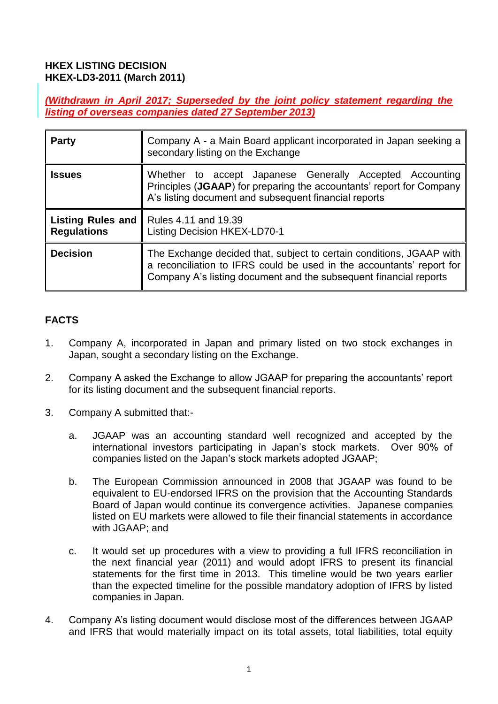#### **HKEX LISTING DECISION HKEX-LD3-2011 (March 2011)**

*(Withdrawn in April 2017; Superseded by the joint policy statement regarding the listing of overseas companies dated 27 September 2013)*

| <b>Party</b>                                   | Company A - a Main Board applicant incorporated in Japan seeking a<br>secondary listing on the Exchange                                                                                                            |
|------------------------------------------------|--------------------------------------------------------------------------------------------------------------------------------------------------------------------------------------------------------------------|
| <b>Issues</b>                                  | Whether to accept Japanese Generally Accepted Accounting<br>Principles (JGAAP) for preparing the accountants' report for Company<br>A's listing document and subsequent financial reports                          |
| <b>Listing Rules and</b><br><b>Regulations</b> | Rules 4.11 and 19.39<br><b>Listing Decision HKEX-LD70-1</b>                                                                                                                                                        |
| <b>Decision</b>                                | The Exchange decided that, subject to certain conditions, JGAAP with<br>a reconciliation to IFRS could be used in the accountants' report for<br>Company A's listing document and the subsequent financial reports |

### **FACTS**

- 1. Company A, incorporated in Japan and primary listed on two stock exchanges in Japan, sought a secondary listing on the Exchange.
- 2. Company A asked the Exchange to allow JGAAP for preparing the accountants' report for its listing document and the subsequent financial reports.
- 3. Company A submitted that:
	- a. JGAAP was an accounting standard well recognized and accepted by the international investors participating in Japan's stock markets. Over 90% of companies listed on the Japan's stock markets adopted JGAAP;
	- b. The European Commission announced in 2008 that JGAAP was found to be equivalent to EU-endorsed IFRS on the provision that the Accounting Standards Board of Japan would continue its convergence activities. Japanese companies listed on EU markets were allowed to file their financial statements in accordance with JGAAP; and
	- c. It would set up procedures with a view to providing a full IFRS reconciliation in the next financial year (2011) and would adopt IFRS to present its financial statements for the first time in 2013. This timeline would be two years earlier than the expected timeline for the possible mandatory adoption of IFRS by listed companies in Japan.
- 4. Company A's listing document would disclose most of the differences between JGAAP and IFRS that would materially impact on its total assets, total liabilities, total equity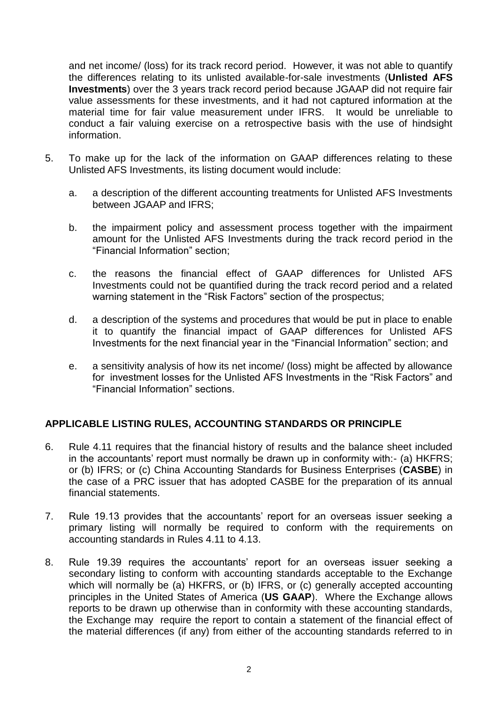and net income/ (loss) for its track record period. However, it was not able to quantify the differences relating to its unlisted available-for-sale investments (**Unlisted AFS Investments**) over the 3 years track record period because JGAAP did not require fair value assessments for these investments, and it had not captured information at the material time for fair value measurement under IFRS. It would be unreliable to conduct a fair valuing exercise on a retrospective basis with the use of hindsight information.

- 5. To make up for the lack of the information on GAAP differences relating to these Unlisted AFS Investments, its listing document would include:
	- a. a description of the different accounting treatments for Unlisted AFS Investments between JGAAP and IFRS;
	- b. the impairment policy and assessment process together with the impairment amount for the Unlisted AFS Investments during the track record period in the "Financial Information" section;
	- c. the reasons the financial effect of GAAP differences for Unlisted AFS Investments could not be quantified during the track record period and a related warning statement in the "Risk Factors" section of the prospectus;
	- d. a description of the systems and procedures that would be put in place to enable it to quantify the financial impact of GAAP differences for Unlisted AFS Investments for the next financial year in the "Financial Information" section; and
	- e. a sensitivity analysis of how its net income/ (loss) might be affected by allowance for investment losses for the Unlisted AFS Investments in the "Risk Factors" and "Financial Information" sections.

### **APPLICABLE LISTING RULES, ACCOUNTING STANDARDS OR PRINCIPLE**

- 6. Rule 4.11 requires that the financial history of results and the balance sheet included in the accountants' report must normally be drawn up in conformity with:- (a) HKFRS; or (b) IFRS; or (c) China Accounting Standards for Business Enterprises (**CASBE**) in the case of a PRC issuer that has adopted CASBE for the preparation of its annual financial statements.
- 7. Rule 19.13 provides that the accountants' report for an overseas issuer seeking a primary listing will normally be required to conform with the requirements on accounting standards in Rules 4.11 to 4.13.
- 8. Rule 19.39 requires the accountants' report for an overseas issuer seeking a secondary listing to conform with accounting standards acceptable to the Exchange which will normally be (a) HKFRS, or (b) IFRS, or (c) generally accepted accounting principles in the United States of America (**US GAAP**). Where the Exchange allows reports to be drawn up otherwise than in conformity with these accounting standards, the Exchange may require the report to contain a statement of the financial effect of the material differences (if any) from either of the accounting standards referred to in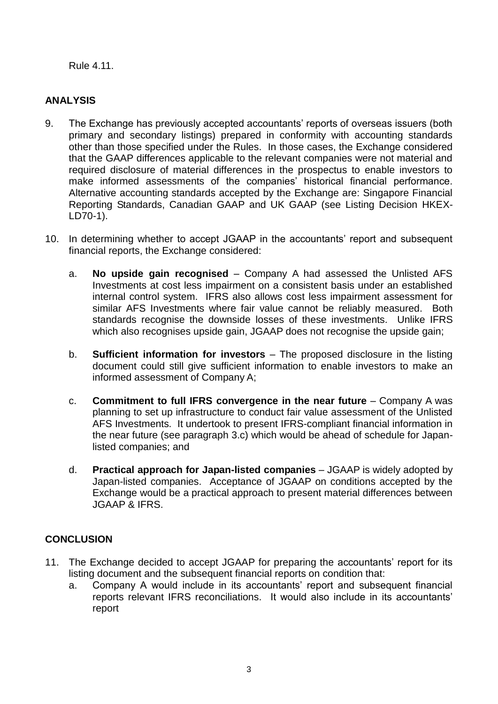Rule 4.11.

# **ANALYSIS**

- 9. The Exchange has previously accepted accountants' reports of overseas issuers (both primary and secondary listings) prepared in conformity with accounting standards other than those specified under the Rules. In those cases, the Exchange considered that the GAAP differences applicable to the relevant companies were not material and required disclosure of material differences in the prospectus to enable investors to make informed assessments of the companies' historical financial performance. Alternative accounting standards accepted by the Exchange are: Singapore Financial Reporting Standards, Canadian GAAP and UK GAAP (see Listing Decision HKEX-LD70-1).
- 10. In determining whether to accept JGAAP in the accountants' report and subsequent financial reports, the Exchange considered:
	- a. **No upside gain recognised** Company A had assessed the Unlisted AFS Investments at cost less impairment on a consistent basis under an established internal control system. IFRS also allows cost less impairment assessment for similar AFS Investments where fair value cannot be reliably measured. Both standards recognise the downside losses of these investments. Unlike IFRS which also recognises upside gain, JGAAP does not recognise the upside gain;
	- b. **Sufficient information for investors** The proposed disclosure in the listing document could still give sufficient information to enable investors to make an informed assessment of Company A;
	- c. **Commitment to full IFRS convergence in the near future** Company A was planning to set up infrastructure to conduct fair value assessment of the Unlisted AFS Investments. It undertook to present IFRS-compliant financial information in the near future (see paragraph 3.c) which would be ahead of schedule for Japanlisted companies; and
	- d. **Practical approach for Japan-listed companies** JGAAP is widely adopted by Japan-listed companies. Acceptance of JGAAP on conditions accepted by the Exchange would be a practical approach to present material differences between JGAAP & IFRS.

## **CONCLUSION**

- 11. The Exchange decided to accept JGAAP for preparing the accountants' report for its listing document and the subsequent financial reports on condition that:
	- a. Company A would include in its accountants' report and subsequent financial reports relevant IFRS reconciliations. It would also include in its accountants' report